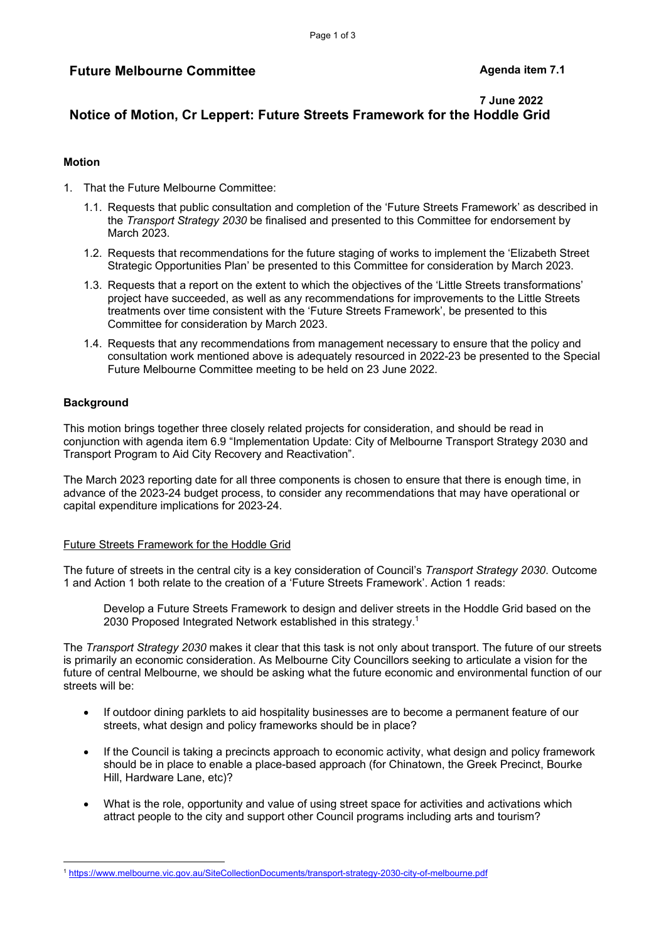# **Future Melbourne Committee**  Agenda item 7.1

# **7 June 2022 Notice of Motion, Cr Leppert: Future Streets Framework for the Hoddle Grid**

### **Motion**

- 1. That the Future Melbourne Committee:
	- 1.1. Requests that public consultation and completion of the 'Future Streets Framework' as described in the *Transport Strategy 2030* be finalised and presented to this Committee for endorsement by March 2023.
	- 1.2. Requests that recommendations for the future staging of works to implement the 'Elizabeth Street Strategic Opportunities Plan' be presented to this Committee for consideration by March 2023.
	- 1.3. Requests that a report on the extent to which the objectives of the 'Little Streets transformations' project have succeeded, as well as any recommendations for improvements to the Little Streets treatments over time consistent with the 'Future Streets Framework', be presented to this Committee for consideration by March 2023.
	- 1.4. Requests that any recommendations from management necessary to ensure that the policy and consultation work mentioned above is adequately resourced in 2022-23 be presented to the Special Future Melbourne Committee meeting to be held on 23 June 2022.

# **Background**

This motion brings together three closely related projects for consideration, and should be read in conjunction with agenda item 6.9 "Implementation Update: City of Melbourne Transport Strategy 2030 and Transport Program to Aid City Recovery and Reactivation".

The March 2023 reporting date for all three components is chosen to ensure that there is enough time, in advance of the 2023-24 budget process, to consider any recommendations that may have operational or capital expenditure implications for 2023-24.

## Future Streets Framework for the Hoddle Grid

The future of streets in the central city is a key consideration of Council's *Transport Strategy 2030*. Outcome 1 and Action 1 both relate to the creation of a 'Future Streets Framework'. Action 1 reads:

Develop a Future Streets Framework to design and deliver streets in the Hoddle Grid based on the 2030 Proposed Integrated Network established in this strategy.1

The *Transport Strategy 2030* makes it clear that this task is not only about transport. The future of our streets is primarily an economic consideration. As Melbourne City Councillors seeking to articulate a vision for the future of central Melbourne, we should be asking what the future economic and environmental function of our streets will be:

- If outdoor dining parklets to aid hospitality businesses are to become a permanent feature of our streets, what design and policy frameworks should be in place?
- If the Council is taking a precincts approach to economic activity, what design and policy framework should be in place to enable a place-based approach (for Chinatown, the Greek Precinct, Bourke Hill, Hardware Lane, etc)?
- What is the role, opportunity and value of using street space for activities and activations which attract people to the city and support other Council programs including arts and tourism?

<sup>1</sup> https://www.melbourne.vic.gov.au/SiteCollectionDocuments/transport-strategy-2030-city-of-melbourne.pdf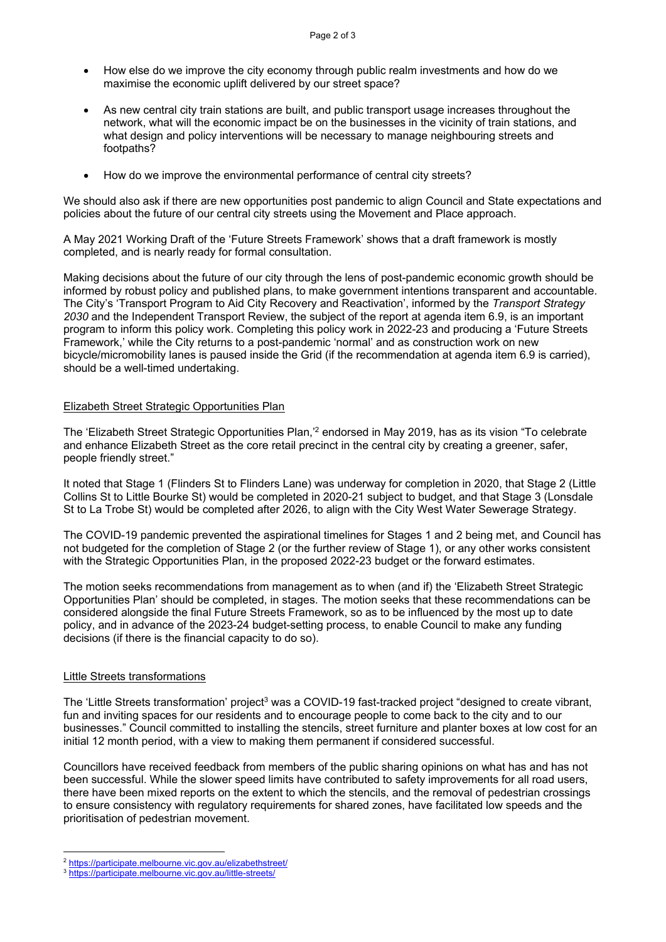- How else do we improve the city economy through public realm investments and how do we maximise the economic uplift delivered by our street space?
- As new central city train stations are built, and public transport usage increases throughout the network, what will the economic impact be on the businesses in the vicinity of train stations, and what design and policy interventions will be necessary to manage neighbouring streets and footpaths?
- How do we improve the environmental performance of central city streets?

We should also ask if there are new opportunities post pandemic to align Council and State expectations and policies about the future of our central city streets using the Movement and Place approach.

A May 2021 Working Draft of the 'Future Streets Framework' shows that a draft framework is mostly completed, and is nearly ready for formal consultation.

Making decisions about the future of our city through the lens of post-pandemic economic growth should be informed by robust policy and published plans, to make government intentions transparent and accountable. The City's 'Transport Program to Aid City Recovery and Reactivation', informed by the *Transport Strategy 2030* and the Independent Transport Review, the subject of the report at agenda item 6.9, is an important program to inform this policy work. Completing this policy work in 2022-23 and producing a 'Future Streets Framework,' while the City returns to a post-pandemic 'normal' and as construction work on new bicycle/micromobility lanes is paused inside the Grid (if the recommendation at agenda item 6.9 is carried), should be a well-timed undertaking.

#### Elizabeth Street Strategic Opportunities Plan

The 'Elizabeth Street Strategic Opportunities Plan,<sup>2</sup> endorsed in May 2019, has as its vision "To celebrate and enhance Elizabeth Street as the core retail precinct in the central city by creating a greener, safer, people friendly street."

It noted that Stage 1 (Flinders St to Flinders Lane) was underway for completion in 2020, that Stage 2 (Little Collins St to Little Bourke St) would be completed in 2020-21 subject to budget, and that Stage 3 (Lonsdale St to La Trobe St) would be completed after 2026, to align with the City West Water Sewerage Strategy.

The COVID-19 pandemic prevented the aspirational timelines for Stages 1 and 2 being met, and Council has not budgeted for the completion of Stage 2 (or the further review of Stage 1), or any other works consistent with the Strategic Opportunities Plan, in the proposed 2022-23 budget or the forward estimates.

The motion seeks recommendations from management as to when (and if) the 'Elizabeth Street Strategic Opportunities Plan' should be completed, in stages. The motion seeks that these recommendations can be considered alongside the final Future Streets Framework, so as to be influenced by the most up to date policy, and in advance of the 2023-24 budget-setting process, to enable Council to make any funding decisions (if there is the financial capacity to do so).

#### Little Streets transformations

 $\overline{a}$ 

The 'Little Streets transformation' project<sup>3</sup> was a COVID-19 fast-tracked project "designed to create vibrant, fun and inviting spaces for our residents and to encourage people to come back to the city and to our businesses." Council committed to installing the stencils, street furniture and planter boxes at low cost for an initial 12 month period, with a view to making them permanent if considered successful.

Councillors have received feedback from members of the public sharing opinions on what has and has not been successful. While the slower speed limits have contributed to safety improvements for all road users, there have been mixed reports on the extent to which the stencils, and the removal of pedestrian crossings to ensure consistency with regulatory requirements for shared zones, have facilitated low speeds and the prioritisation of pedestrian movement.

<sup>2</sup> https://participate.melbourne.vic.gov.au/elizabethstreet/ 3 https://participate.melbourne.vic.gov.au/little-streets/